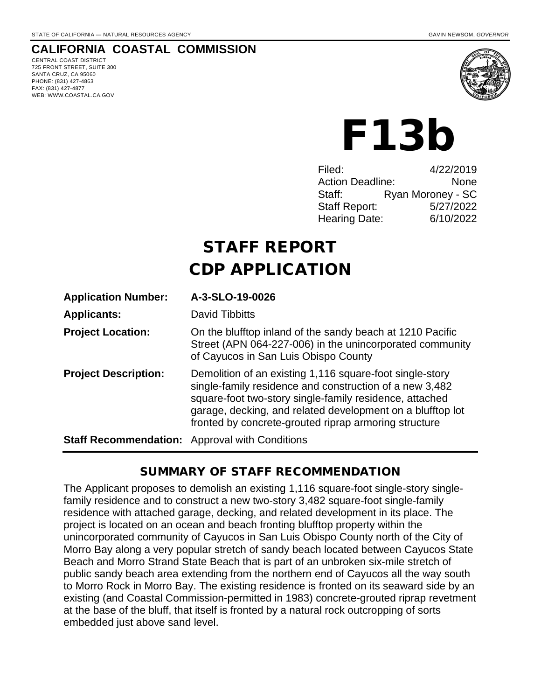#### **CALIFORNIA COASTAL COMMISSION**

CENTRAL COAST DISTRICT 725 FRONT STREET, SUITE 300 SANTA CRUZ, CA 95060 PHONE: (831) 427-4863 FAX: (831) 427-4877 WEB: WWW.COASTAL.CA.GOV



# F13b

| Filed:                  | 4/22/2019         |
|-------------------------|-------------------|
| <b>Action Deadline:</b> | None              |
| Staff:                  | Ryan Moroney - SC |
| <b>Staff Report:</b>    | 5/27/2022         |
| Hearing Date:           | 6/10/2022         |
|                         |                   |

# STAFF REPORT CDP APPLICATION

| <b>Application Number:</b>                            | A-3-SLO-19-0026                                                                                                                                                                                                                                                                                       |
|-------------------------------------------------------|-------------------------------------------------------------------------------------------------------------------------------------------------------------------------------------------------------------------------------------------------------------------------------------------------------|
| <b>Applicants:</b>                                    | David Tibbitts                                                                                                                                                                                                                                                                                        |
| <b>Project Location:</b>                              | On the blufftop inland of the sandy beach at 1210 Pacific<br>Street (APN 064-227-006) in the unincorporated community<br>of Cayucos in San Luis Obispo County                                                                                                                                         |
| <b>Project Description:</b>                           | Demolition of an existing 1,116 square-foot single-story<br>single-family residence and construction of a new 3,482<br>square-foot two-story single-family residence, attached<br>garage, decking, and related development on a blufftop lot<br>fronted by concrete-grouted riprap armoring structure |
| <b>Staff Recommendation:</b> Approval with Conditions |                                                                                                                                                                                                                                                                                                       |

#### SUMMARY OF STAFF RECOMMENDATION

The Applicant proposes to demolish an existing 1,116 square-foot single-story singlefamily residence and to construct a new two-story 3,482 square-foot single-family residence with attached garage, decking, and related development in its place. The project is located on an ocean and beach fronting blufftop property within the unincorporated community of Cayucos in San Luis Obispo County north of the City of Morro Bay along a very popular stretch of sandy beach located between Cayucos State Beach and Morro Strand State Beach that is part of an unbroken six-mile stretch of public sandy beach area extending from the northern end of Cayucos all the way south to Morro Rock in Morro Bay. The existing residence is fronted on its seaward side by an existing (and Coastal Commission-permitted in 1983) concrete-grouted riprap revetment at the base of the bluff, that itself is fronted by a natural rock outcropping of sorts embedded just above sand level.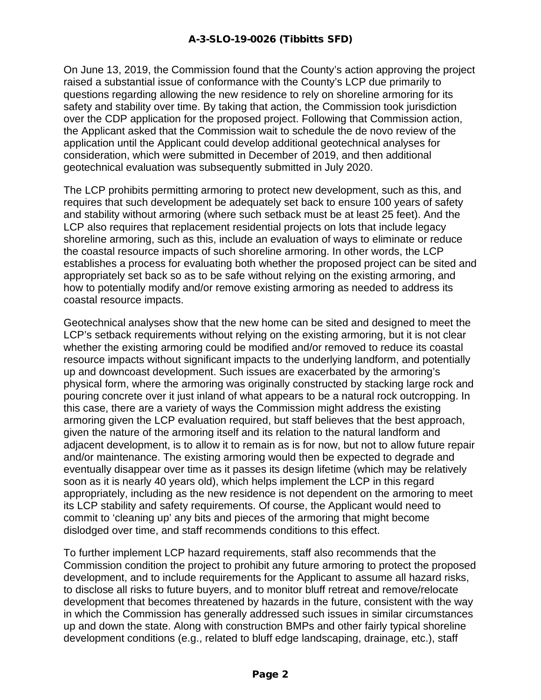On June 13, 2019, the Commission found that the County's action approving the project raised a substantial issue of conformance with the County's LCP due primarily to questions regarding allowing the new residence to rely on shoreline armoring for its safety and stability over time. By taking that action, the Commission took jurisdiction over the CDP application for the proposed project. Following that Commission action, the Applicant asked that the Commission wait to schedule the de novo review of the application until the Applicant could develop additional geotechnical analyses for consideration, which were submitted in December of 2019, and then additional geotechnical evaluation was subsequently submitted in July 2020.

The LCP prohibits permitting armoring to protect new development, such as this, and requires that such development be adequately set back to ensure 100 years of safety and stability without armoring (where such setback must be at least 25 feet). And the LCP also requires that replacement residential projects on lots that include legacy shoreline armoring, such as this, include an evaluation of ways to eliminate or reduce the coastal resource impacts of such shoreline armoring. In other words, the LCP establishes a process for evaluating both whether the proposed project can be sited and appropriately set back so as to be safe without relying on the existing armoring, and how to potentially modify and/or remove existing armoring as needed to address its coastal resource impacts.

Geotechnical analyses show that the new home can be sited and designed to meet the LCP's setback requirements without relying on the existing armoring, but it is not clear whether the existing armoring could be modified and/or removed to reduce its coastal resource impacts without significant impacts to the underlying landform, and potentially up and downcoast development. Such issues are exacerbated by the armoring's physical form, where the armoring was originally constructed by stacking large rock and pouring concrete over it just inland of what appears to be a natural rock outcropping. In this case, there are a variety of ways the Commission might address the existing armoring given the LCP evaluation required, but staff believes that the best approach, given the nature of the armoring itself and its relation to the natural landform and adjacent development, is to allow it to remain as is for now, but not to allow future repair and/or maintenance. The existing armoring would then be expected to degrade and eventually disappear over time as it passes its design lifetime (which may be relatively soon as it is nearly 40 years old), which helps implement the LCP in this regard appropriately, including as the new residence is not dependent on the armoring to meet its LCP stability and safety requirements. Of course, the Applicant would need to commit to 'cleaning up' any bits and pieces of the armoring that might become dislodged over time, and staff recommends conditions to this effect.

To further implement LCP hazard requirements, staff also recommends that the Commission condition the project to prohibit any future armoring to protect the proposed development, and to include requirements for the Applicant to assume all hazard risks, to disclose all risks to future buyers, and to monitor bluff retreat and remove/relocate development that becomes threatened by hazards in the future, consistent with the way in which the Commission has generally addressed such issues in similar circumstances up and down the state. Along with construction BMPs and other fairly typical shoreline development conditions (e.g., related to bluff edge landscaping, drainage, etc.), staff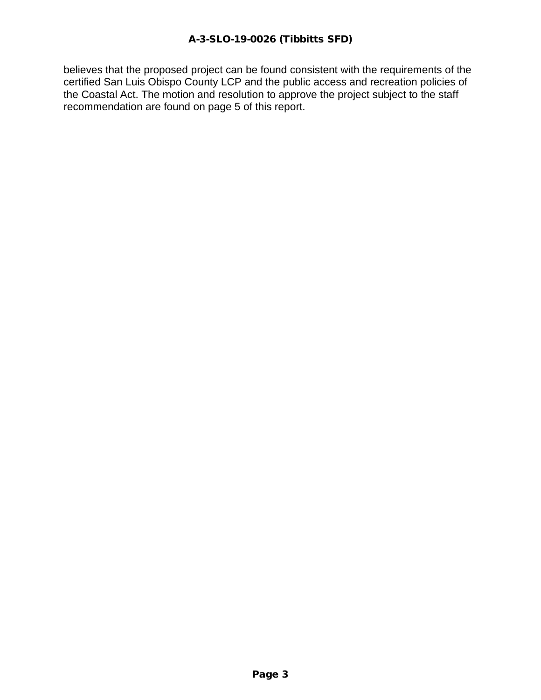believes that the proposed project can be found consistent with the requirements of the certified San Luis Obispo County LCP and the public access and recreation policies of the Coastal Act. The motion and resolution to approve the project subject to the staff recommendation are found on page 5 of this report.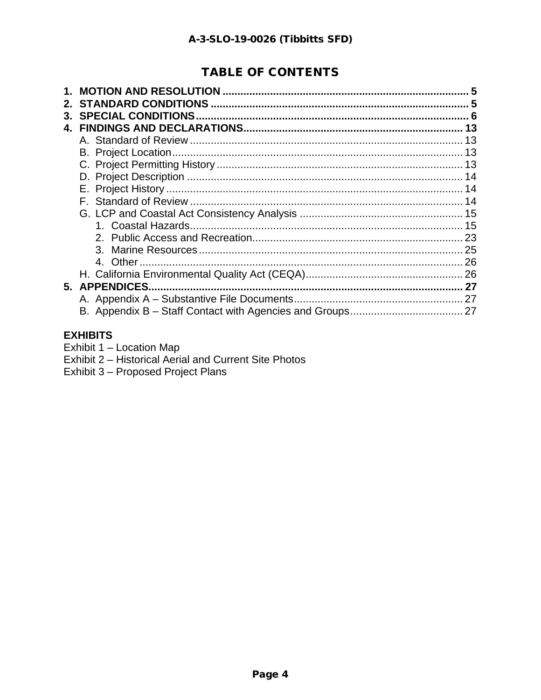# **TABLE OF CONTENTS**

| 3. |               |    |
|----|---------------|----|
|    |               |    |
|    |               | 13 |
|    |               |    |
|    |               |    |
|    |               |    |
|    |               |    |
|    |               |    |
|    |               |    |
|    |               |    |
|    |               |    |
|    |               |    |
|    |               |    |
|    |               |    |
|    | 5. APPENDICES |    |
|    |               |    |
|    |               |    |
|    |               |    |

#### **EXHIBITS**

Exhibit 1 - Location Map

Exhibit 2 - Historical Aerial and Current Site Photos

Exhibit 3 - Proposed Project Plans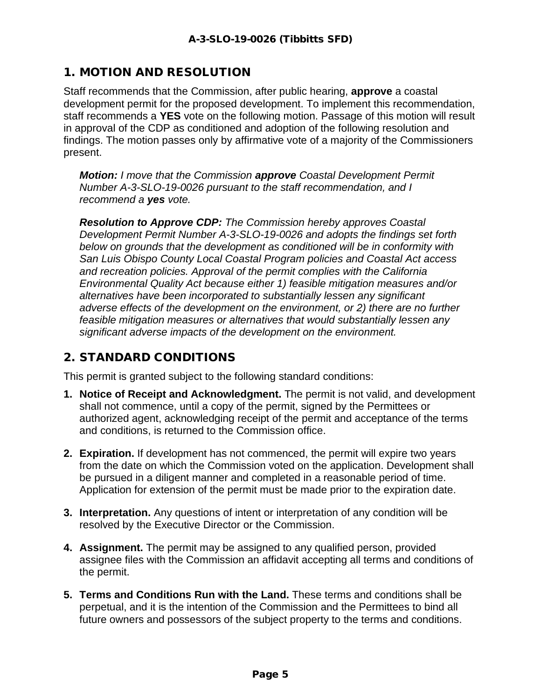# 1. MOTION AND RESOLUTION

Staff recommends that the Commission, after public hearing, **approve** a coastal development permit for the proposed development. To implement this recommendation, staff recommends a **YES** vote on the following motion. Passage of this motion will result in approval of the CDP as conditioned and adoption of the following resolution and findings. The motion passes only by affirmative vote of a majority of the Commissioners present.

*Motion: I move that the Commission approve Coastal Development Permit Number A-3-SLO-19-0026 pursuant to the staff recommendation, and I recommend a yes vote.* 

*Resolution to Approve CDP: The Commission hereby approves Coastal Development Permit Number A-3-SLO-19-0026 and adopts the findings set forth below on grounds that the development as conditioned will be in conformity with San Luis Obispo County Local Coastal Program policies and Coastal Act access and recreation policies. Approval of the permit complies with the California Environmental Quality Act because either 1) feasible mitigation measures and/or alternatives have been incorporated to substantially lessen any significant adverse effects of the development on the environment, or 2) there are no further feasible mitigation measures or alternatives that would substantially lessen any significant adverse impacts of the development on the environment.*

# 2. STANDARD CONDITIONS

This permit is granted subject to the following standard conditions:

- **1. Notice of Receipt and Acknowledgment.** The permit is not valid, and development shall not commence, until a copy of the permit, signed by the Permittees or authorized agent, acknowledging receipt of the permit and acceptance of the terms and conditions, is returned to the Commission office.
- **2. Expiration.** If development has not commenced, the permit will expire two years from the date on which the Commission voted on the application. Development shall be pursued in a diligent manner and completed in a reasonable period of time. Application for extension of the permit must be made prior to the expiration date.
- **3. Interpretation.** Any questions of intent or interpretation of any condition will be resolved by the Executive Director or the Commission.
- **4. Assignment.** The permit may be assigned to any qualified person, provided assignee files with the Commission an affidavit accepting all terms and conditions of the permit.
- **5. Terms and Conditions Run with the Land.** These terms and conditions shall be perpetual, and it is the intention of the Commission and the Permittees to bind all future owners and possessors of the subject property to the terms and conditions.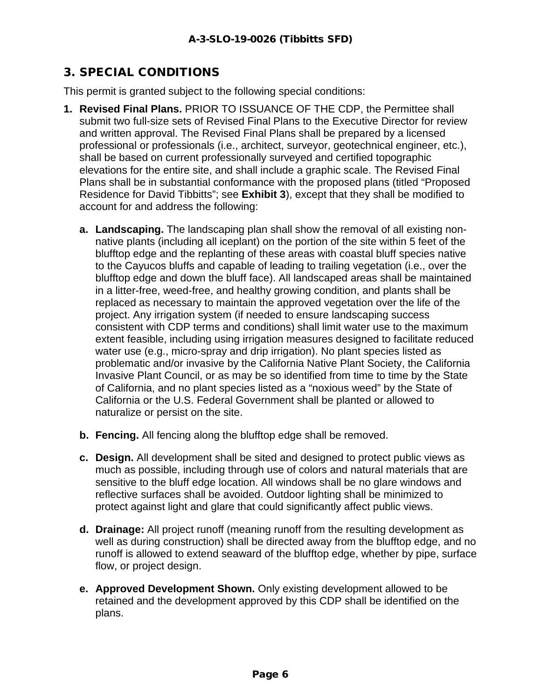# 3. SPECIAL CONDITIONS

This permit is granted subject to the following special conditions:

- **1. Revised Final Plans.** PRIOR TO ISSUANCE OF THE CDP, the Permittee shall submit two full-size sets of Revised Final Plans to the Executive Director for review and written approval. The Revised Final Plans shall be prepared by a licensed professional or professionals (i.e., architect, surveyor, geotechnical engineer, etc.), shall be based on current professionally surveyed and certified topographic elevations for the entire site, and shall include a graphic scale. The Revised Final Plans shall be in substantial conformance with the proposed plans (titled "Proposed Residence for David Tibbitts"; see **Exhibit 3**), except that they shall be modified to account for and address the following:
	- **a. Landscaping.** The landscaping plan shall show the removal of all existing nonnative plants (including all iceplant) on the portion of the site within 5 feet of the blufftop edge and the replanting of these areas with coastal bluff species native to the Cayucos bluffs and capable of leading to trailing vegetation (i.e., over the blufftop edge and down the bluff face). All landscaped areas shall be maintained in a litter-free, weed-free, and healthy growing condition, and plants shall be replaced as necessary to maintain the approved vegetation over the life of the project. Any irrigation system (if needed to ensure landscaping success consistent with CDP terms and conditions) shall limit water use to the maximum extent feasible, including using irrigation measures designed to facilitate reduced water use (e.g., micro-spray and drip irrigation). No plant species listed as problematic and/or invasive by the California Native Plant Society, the California Invasive Plant Council, or as may be so identified from time to time by the State of California, and no plant species listed as a "noxious weed" by the State of California or the U.S. Federal Government shall be planted or allowed to naturalize or persist on the site.
	- **b. Fencing.** All fencing along the blufftop edge shall be removed.
	- **c. Design.** All development shall be sited and designed to protect public views as much as possible, including through use of colors and natural materials that are sensitive to the bluff edge location. All windows shall be no glare windows and reflective surfaces shall be avoided. Outdoor lighting shall be minimized to protect against light and glare that could significantly affect public views.
	- **d. Drainage:** All project runoff (meaning runoff from the resulting development as well as during construction) shall be directed away from the blufftop edge, and no runoff is allowed to extend seaward of the blufftop edge, whether by pipe, surface flow, or project design.
	- **e. Approved Development Shown.** Only existing development allowed to be retained and the development approved by this CDP shall be identified on the plans.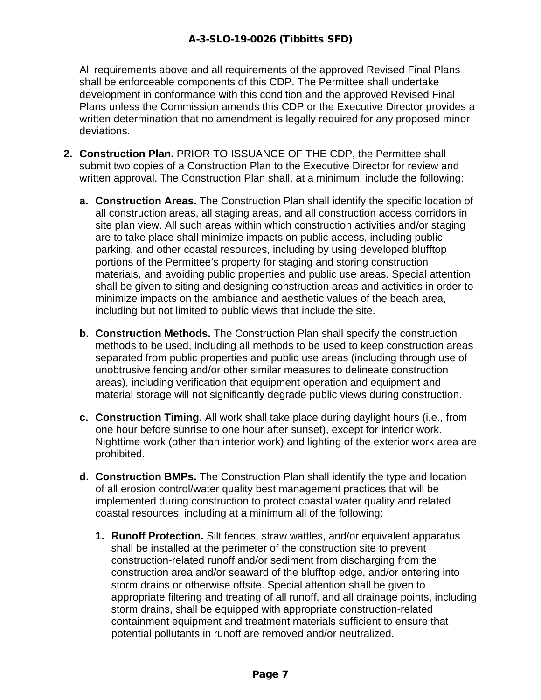All requirements above and all requirements of the approved Revised Final Plans shall be enforceable components of this CDP. The Permittee shall undertake development in conformance with this condition and the approved Revised Final Plans unless the Commission amends this CDP or the Executive Director provides a written determination that no amendment is legally required for any proposed minor deviations.

- **2. Construction Plan.** PRIOR TO ISSUANCE OF THE CDP, the Permittee shall submit two copies of a Construction Plan to the Executive Director for review and written approval. The Construction Plan shall, at a minimum, include the following:
	- **a. Construction Areas.** The Construction Plan shall identify the specific location of all construction areas, all staging areas, and all construction access corridors in site plan view. All such areas within which construction activities and/or staging are to take place shall minimize impacts on public access, including public parking, and other coastal resources, including by using developed blufftop portions of the Permittee's property for staging and storing construction materials, and avoiding public properties and public use areas. Special attention shall be given to siting and designing construction areas and activities in order to minimize impacts on the ambiance and aesthetic values of the beach area, including but not limited to public views that include the site.
	- **b. Construction Methods.** The Construction Plan shall specify the construction methods to be used, including all methods to be used to keep construction areas separated from public properties and public use areas (including through use of unobtrusive fencing and/or other similar measures to delineate construction areas), including verification that equipment operation and equipment and material storage will not significantly degrade public views during construction.
	- **c. Construction Timing.** All work shall take place during daylight hours (i.e., from one hour before sunrise to one hour after sunset), except for interior work. Nighttime work (other than interior work) and lighting of the exterior work area are prohibited.
	- **d. Construction BMPs.** The Construction Plan shall identify the type and location of all erosion control/water quality best management practices that will be implemented during construction to protect coastal water quality and related coastal resources, including at a minimum all of the following:
		- **1. Runoff Protection.** Silt fences, straw wattles, and/or equivalent apparatus shall be installed at the perimeter of the construction site to prevent construction-related runoff and/or sediment from discharging from the construction area and/or seaward of the blufftop edge, and/or entering into storm drains or otherwise offsite. Special attention shall be given to appropriate filtering and treating of all runoff, and all drainage points, including storm drains, shall be equipped with appropriate construction-related containment equipment and treatment materials sufficient to ensure that potential pollutants in runoff are removed and/or neutralized.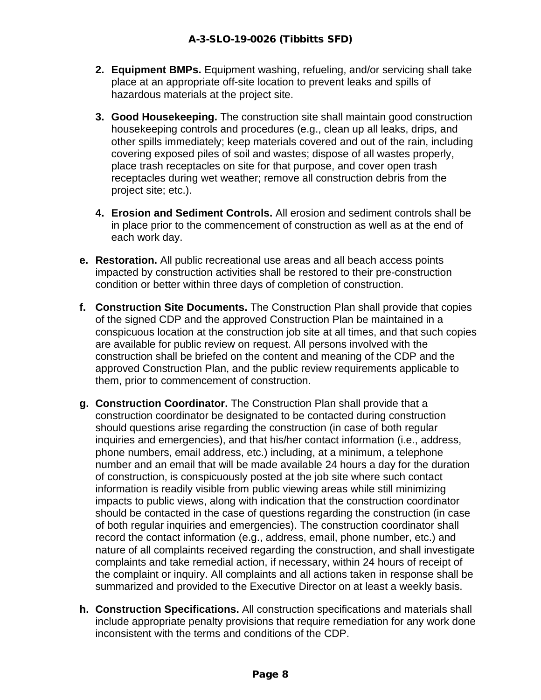- **2. Equipment BMPs.** Equipment washing, refueling, and/or servicing shall take place at an appropriate off-site location to prevent leaks and spills of hazardous materials at the project site.
- **3. Good Housekeeping.** The construction site shall maintain good construction housekeeping controls and procedures (e.g., clean up all leaks, drips, and other spills immediately; keep materials covered and out of the rain, including covering exposed piles of soil and wastes; dispose of all wastes properly, place trash receptacles on site for that purpose, and cover open trash receptacles during wet weather; remove all construction debris from the project site; etc.).
- **4. Erosion and Sediment Controls.** All erosion and sediment controls shall be in place prior to the commencement of construction as well as at the end of each work day.
- **e. Restoration.** All public recreational use areas and all beach access points impacted by construction activities shall be restored to their pre-construction condition or better within three days of completion of construction.
- **f. Construction Site Documents.** The Construction Plan shall provide that copies of the signed CDP and the approved Construction Plan be maintained in a conspicuous location at the construction job site at all times, and that such copies are available for public review on request. All persons involved with the construction shall be briefed on the content and meaning of the CDP and the approved Construction Plan, and the public review requirements applicable to them, prior to commencement of construction.
- **g. Construction Coordinator.** The Construction Plan shall provide that a construction coordinator be designated to be contacted during construction should questions arise regarding the construction (in case of both regular inquiries and emergencies), and that his/her contact information (i.e., address, phone numbers, email address, etc.) including, at a minimum, a telephone number and an email that will be made available 24 hours a day for the duration of construction, is conspicuously posted at the job site where such contact information is readily visible from public viewing areas while still minimizing impacts to public views, along with indication that the construction coordinator should be contacted in the case of questions regarding the construction (in case of both regular inquiries and emergencies). The construction coordinator shall record the contact information (e.g., address, email, phone number, etc.) and nature of all complaints received regarding the construction, and shall investigate complaints and take remedial action, if necessary, within 24 hours of receipt of the complaint or inquiry. All complaints and all actions taken in response shall be summarized and provided to the Executive Director on at least a weekly basis.
- **h. Construction Specifications.** All construction specifications and materials shall include appropriate penalty provisions that require remediation for any work done inconsistent with the terms and conditions of the CDP.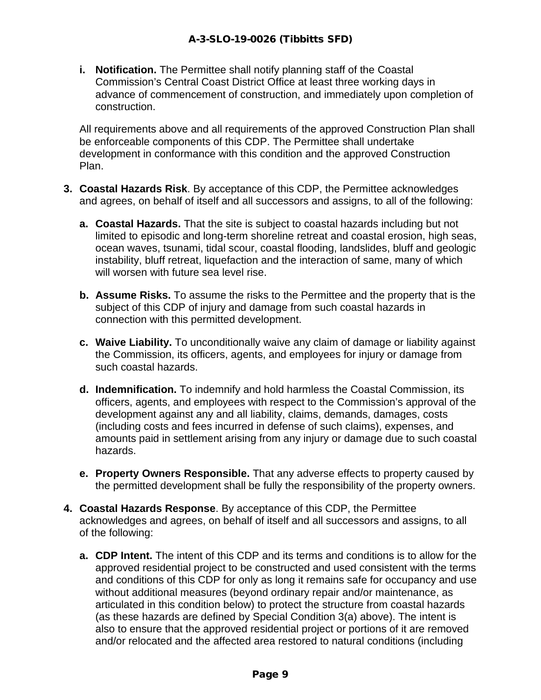**i. Notification.** The Permittee shall notify planning staff of the Coastal Commission's Central Coast District Office at least three working days in advance of commencement of construction, and immediately upon completion of construction.

All requirements above and all requirements of the approved Construction Plan shall be enforceable components of this CDP. The Permittee shall undertake development in conformance with this condition and the approved Construction Plan.

- **3. Coastal Hazards Risk**. By acceptance of this CDP, the Permittee acknowledges and agrees, on behalf of itself and all successors and assigns, to all of the following:
	- **a. Coastal Hazards.** That the site is subject to coastal hazards including but not limited to episodic and long-term shoreline retreat and coastal erosion, high seas, ocean waves, tsunami, tidal scour, coastal flooding, landslides, bluff and geologic instability, bluff retreat, liquefaction and the interaction of same, many of which will worsen with future sea level rise.
	- **b. Assume Risks.** To assume the risks to the Permittee and the property that is the subject of this CDP of injury and damage from such coastal hazards in connection with this permitted development.
	- **c. Waive Liability.** To unconditionally waive any claim of damage or liability against the Commission, its officers, agents, and employees for injury or damage from such coastal hazards.
	- **d. Indemnification.** To indemnify and hold harmless the Coastal Commission, its officers, agents, and employees with respect to the Commission's approval of the development against any and all liability, claims, demands, damages, costs (including costs and fees incurred in defense of such claims), expenses, and amounts paid in settlement arising from any injury or damage due to such coastal hazards.
	- **e. Property Owners Responsible.** That any adverse effects to property caused by the permitted development shall be fully the responsibility of the property owners.
- **4. Coastal Hazards Response**. By acceptance of this CDP, the Permittee acknowledges and agrees, on behalf of itself and all successors and assigns, to all of the following:
	- **a. CDP Intent.** The intent of this CDP and its terms and conditions is to allow for the approved residential project to be constructed and used consistent with the terms and conditions of this CDP for only as long it remains safe for occupancy and use without additional measures (beyond ordinary repair and/or maintenance, as articulated in this condition below) to protect the structure from coastal hazards (as these hazards are defined by Special Condition 3(a) above). The intent is also to ensure that the approved residential project or portions of it are removed and/or relocated and the affected area restored to natural conditions (including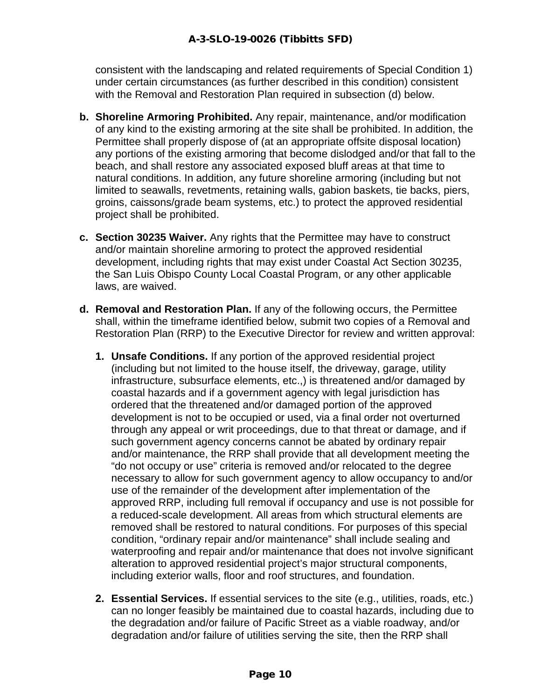consistent with the landscaping and related requirements of Special Condition 1) under certain circumstances (as further described in this condition) consistent with the Removal and Restoration Plan required in subsection (d) below.

- **b. Shoreline Armoring Prohibited.** Any repair, maintenance, and/or modification of any kind to the existing armoring at the site shall be prohibited. In addition, the Permittee shall properly dispose of (at an appropriate offsite disposal location) any portions of the existing armoring that become dislodged and/or that fall to the beach, and shall restore any associated exposed bluff areas at that time to natural conditions. In addition, any future shoreline armoring (including but not limited to seawalls, revetments, retaining walls, gabion baskets, tie backs, piers, groins, caissons/grade beam systems, etc.) to protect the approved residential project shall be prohibited.
- **c. Section 30235 Waiver.** Any rights that the Permittee may have to construct and/or maintain shoreline armoring to protect the approved residential development, including rights that may exist under Coastal Act Section 30235, the San Luis Obispo County Local Coastal Program, or any other applicable laws, are waived.
- **d. Removal and Restoration Plan.** If any of the following occurs, the Permittee shall, within the timeframe identified below, submit two copies of a Removal and Restoration Plan (RRP) to the Executive Director for review and written approval:
	- **1. Unsafe Conditions.** If any portion of the approved residential project (including but not limited to the house itself, the driveway, garage, utility infrastructure, subsurface elements, etc.,) is threatened and/or damaged by coastal hazards and if a government agency with legal jurisdiction has ordered that the threatened and/or damaged portion of the approved development is not to be occupied or used, via a final order not overturned through any appeal or writ proceedings, due to that threat or damage, and if such government agency concerns cannot be abated by ordinary repair and/or maintenance, the RRP shall provide that all development meeting the "do not occupy or use" criteria is removed and/or relocated to the degree necessary to allow for such government agency to allow occupancy to and/or use of the remainder of the development after implementation of the approved RRP, including full removal if occupancy and use is not possible for a reduced-scale development. All areas from which structural elements are removed shall be restored to natural conditions. For purposes of this special condition, "ordinary repair and/or maintenance" shall include sealing and waterproofing and repair and/or maintenance that does not involve significant alteration to approved residential project's major structural components, including exterior walls, floor and roof structures, and foundation.
	- **2. Essential Services.** If essential services to the site (e.g., utilities, roads, etc.) can no longer feasibly be maintained due to coastal hazards, including due to the degradation and/or failure of Pacific Street as a viable roadway, and/or degradation and/or failure of utilities serving the site, then the RRP shall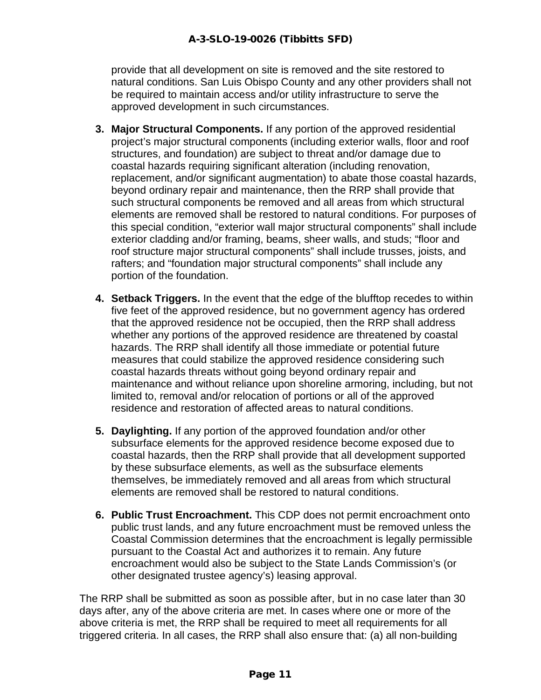provide that all development on site is removed and the site restored to natural conditions. San Luis Obispo County and any other providers shall not be required to maintain access and/or utility infrastructure to serve the approved development in such circumstances.

- **3. Major Structural Components.** If any portion of the approved residential project's major structural components (including exterior walls, floor and roof structures, and foundation) are subject to threat and/or damage due to coastal hazards requiring significant alteration (including renovation, replacement, and/or significant augmentation) to abate those coastal hazards, beyond ordinary repair and maintenance, then the RRP shall provide that such structural components be removed and all areas from which structural elements are removed shall be restored to natural conditions. For purposes of this special condition, "exterior wall major structural components" shall include exterior cladding and/or framing, beams, sheer walls, and studs; "floor and roof structure major structural components" shall include trusses, joists, and rafters; and "foundation major structural components" shall include any portion of the foundation.
- **4. Setback Triggers.** In the event that the edge of the blufftop recedes to within five feet of the approved residence, but no government agency has ordered that the approved residence not be occupied, then the RRP shall address whether any portions of the approved residence are threatened by coastal hazards. The RRP shall identify all those immediate or potential future measures that could stabilize the approved residence considering such coastal hazards threats without going beyond ordinary repair and maintenance and without reliance upon shoreline armoring, including, but not limited to, removal and/or relocation of portions or all of the approved residence and restoration of affected areas to natural conditions.
- **5. Daylighting.** If any portion of the approved foundation and/or other subsurface elements for the approved residence become exposed due to coastal hazards, then the RRP shall provide that all development supported by these subsurface elements, as well as the subsurface elements themselves, be immediately removed and all areas from which structural elements are removed shall be restored to natural conditions.
- **6. Public Trust Encroachment.** This CDP does not permit encroachment onto public trust lands, and any future encroachment must be removed unless the Coastal Commission determines that the encroachment is legally permissible pursuant to the Coastal Act and authorizes it to remain. Any future encroachment would also be subject to the State Lands Commission's (or other designated trustee agency's) leasing approval.

The RRP shall be submitted as soon as possible after, but in no case later than 30 days after, any of the above criteria are met. In cases where one or more of the above criteria is met, the RRP shall be required to meet all requirements for all triggered criteria. In all cases, the RRP shall also ensure that: (a) all non-building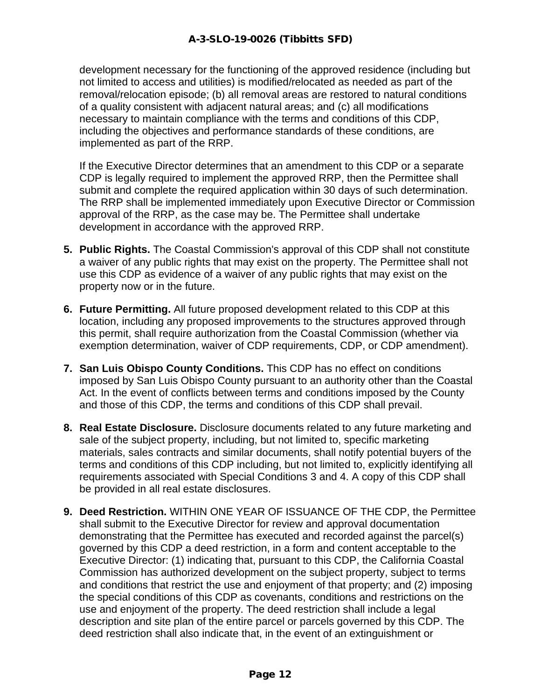development necessary for the functioning of the approved residence (including but not limited to access and utilities) is modified/relocated as needed as part of the removal/relocation episode; (b) all removal areas are restored to natural conditions of a quality consistent with adjacent natural areas; and (c) all modifications necessary to maintain compliance with the terms and conditions of this CDP, including the objectives and performance standards of these conditions, are implemented as part of the RRP.

If the Executive Director determines that an amendment to this CDP or a separate CDP is legally required to implement the approved RRP, then the Permittee shall submit and complete the required application within 30 days of such determination. The RRP shall be implemented immediately upon Executive Director or Commission approval of the RRP, as the case may be. The Permittee shall undertake development in accordance with the approved RRP.

- **5. Public Rights.** The Coastal Commission's approval of this CDP shall not constitute a waiver of any public rights that may exist on the property. The Permittee shall not use this CDP as evidence of a waiver of any public rights that may exist on the property now or in the future.
- **6. Future Permitting.** All future proposed development related to this CDP at this location, including any proposed improvements to the structures approved through this permit, shall require authorization from the Coastal Commission (whether via exemption determination, waiver of CDP requirements, CDP, or CDP amendment).
- **7. San Luis Obispo County Conditions.** This CDP has no effect on conditions imposed by San Luis Obispo County pursuant to an authority other than the Coastal Act. In the event of conflicts between terms and conditions imposed by the County and those of this CDP, the terms and conditions of this CDP shall prevail.
- **8. Real Estate Disclosure.** Disclosure documents related to any future marketing and sale of the subject property, including, but not limited to, specific marketing materials, sales contracts and similar documents, shall notify potential buyers of the terms and conditions of this CDP including, but not limited to, explicitly identifying all requirements associated with Special Conditions 3 and 4. A copy of this CDP shall be provided in all real estate disclosures.
- **9. Deed Restriction.** WITHIN ONE YEAR OF ISSUANCE OF THE CDP, the Permittee shall submit to the Executive Director for review and approval documentation demonstrating that the Permittee has executed and recorded against the parcel(s) governed by this CDP a deed restriction, in a form and content acceptable to the Executive Director: (1) indicating that, pursuant to this CDP, the California Coastal Commission has authorized development on the subject property, subject to terms and conditions that restrict the use and enjoyment of that property; and (2) imposing the special conditions of this CDP as covenants, conditions and restrictions on the use and enjoyment of the property. The deed restriction shall include a legal description and site plan of the entire parcel or parcels governed by this CDP. The deed restriction shall also indicate that, in the event of an extinguishment or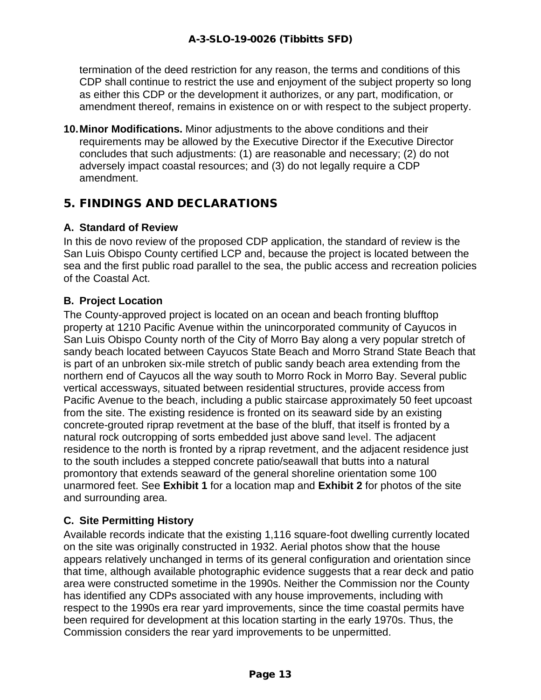termination of the deed restriction for any reason, the terms and conditions of this CDP shall continue to restrict the use and enjoyment of the subject property so long as either this CDP or the development it authorizes, or any part, modification, or amendment thereof, remains in existence on or with respect to the subject property.

**10.Minor Modifications.** Minor adjustments to the above conditions and their requirements may be allowed by the Executive Director if the Executive Director concludes that such adjustments: (1) are reasonable and necessary; (2) do not adversely impact coastal resources; and (3) do not legally require a CDP amendment.

# 5. FINDINGS AND DECLARATIONS

#### **A. Standard of Review**

In this de novo review of the proposed CDP application, the standard of review is the San Luis Obispo County certified LCP and, because the project is located between the sea and the first public road parallel to the sea, the public access and recreation policies of the Coastal Act.

#### **B. Project Location**

The County-approved project is located on an ocean and beach fronting blufftop property at 1210 Pacific Avenue within the unincorporated community of Cayucos in San Luis Obispo County north of the City of Morro Bay along a very popular stretch of sandy beach located between Cayucos State Beach and Morro Strand State Beach that is part of an unbroken six-mile stretch of public sandy beach area extending from the northern end of Cayucos all the way south to Morro Rock in Morro Bay. Several public vertical accessways, situated between residential structures, provide access from Pacific Avenue to the beach, including a public staircase approximately 50 feet upcoast from the site. The existing residence is fronted on its seaward side by an existing concrete-grouted riprap revetment at the base of the bluff, that itself is fronted by a natural rock outcropping of sorts embedded just above sand level. The adjacent residence to the north is fronted by a riprap revetment, and the adjacent residence just to the south includes a stepped concrete patio/seawall that butts into a natural promontory that extends seaward of the general shoreline orientation some 100 unarmored feet. See **Exhibit 1** for a location map and **Exhibit 2** for photos of the site and surrounding area.

#### **C. Site Permitting History**

Available records indicate that the existing 1,116 square-foot dwelling currently located on the site was originally constructed in 1932. Aerial photos show that the house appears relatively unchanged in terms of its general configuration and orientation since that time, although available photographic evidence suggests that a rear deck and patio area were constructed sometime in the 1990s. Neither the Commission nor the County has identified any CDPs associated with any house improvements, including with respect to the 1990s era rear yard improvements, since the time coastal permits have been required for development at this location starting in the early 1970s. Thus, the Commission considers the rear yard improvements to be unpermitted.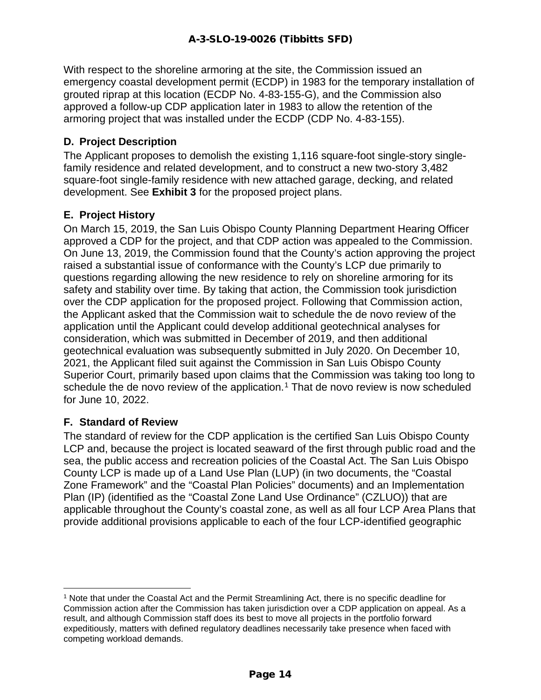With respect to the shoreline armoring at the site, the Commission issued an emergency coastal development permit (ECDP) in 1983 for the temporary installation of grouted riprap at this location (ECDP No. 4-83-155-G), and the Commission also approved a follow-up CDP application later in 1983 to allow the retention of the armoring project that was installed under the ECDP (CDP No. 4-83-155).

#### **D. Project Description**

The Applicant proposes to demolish the existing 1,116 square-foot single-story singlefamily residence and related development, and to construct a new two-story 3,482 square-foot single-family residence with new attached garage, decking, and related development. See **Exhibit 3** for the proposed project plans.

#### **E. Project History**

On March 15, 2019, the San Luis Obispo County Planning Department Hearing Officer approved a CDP for the project, and that CDP action was appealed to the Commission. On June 13, 2019, the Commission found that the County's action approving the project raised a substantial issue of conformance with the County's LCP due primarily to questions regarding allowing the new residence to rely on shoreline armoring for its safety and stability over time. By taking that action, the Commission took jurisdiction over the CDP application for the proposed project. Following that Commission action, the Applicant asked that the Commission wait to schedule the de novo review of the application until the Applicant could develop additional geotechnical analyses for consideration, which was submitted in December of 2019, and then additional geotechnical evaluation was subsequently submitted in July 2020. On December 10, 2021, the Applicant filed suit against the Commission in San Luis Obispo County Superior Court, primarily based upon claims that the Commission was taking too long to schedule the de novo review of the application.<sup>[1](#page-13-0)</sup> That de novo review is now scheduled for June 10, 2022.

#### **F. Standard of Review**

The standard of review for the CDP application is the certified San Luis Obispo County LCP and, because the project is located seaward of the first through public road and the sea, the public access and recreation policies of the Coastal Act. The San Luis Obispo County LCP is made up of a Land Use Plan (LUP) (in two documents, the "Coastal Zone Framework" and the "Coastal Plan Policies" documents) and an Implementation Plan (IP) (identified as the "Coastal Zone Land Use Ordinance" (CZLUO)) that are applicable throughout the County's coastal zone, as well as all four LCP Area Plans that provide additional provisions applicable to each of the four LCP-identified geographic

<span id="page-13-0"></span><sup>1</sup> Note that under the Coastal Act and the Permit Streamlining Act, there is no specific deadline for Commission action after the Commission has taken jurisdiction over a CDP application on appeal. As a result, and although Commission staff does its best to move all projects in the portfolio forward expeditiously, matters with defined regulatory deadlines necessarily take presence when faced with competing workload demands.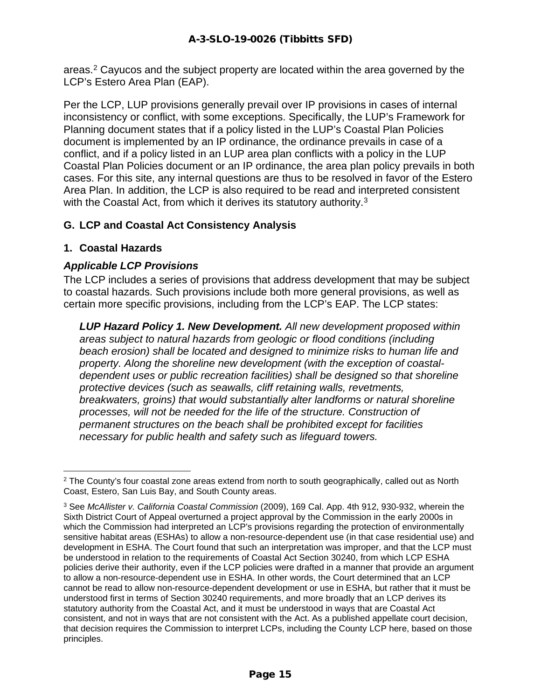areas.[2](#page-14-0) Cayucos and the subject property are located within the area governed by the LCP's Estero Area Plan (EAP).

Per the LCP, LUP provisions generally prevail over IP provisions in cases of internal inconsistency or conflict, with some exceptions. Specifically, the LUP's Framework for Planning document states that if a policy listed in the LUP's Coastal Plan Policies document is implemented by an IP ordinance, the ordinance prevails in case of a conflict, and if a policy listed in an LUP area plan conflicts with a policy in the LUP Coastal Plan Policies document or an IP ordinance, the area plan policy prevails in both cases. For this site, any internal questions are thus to be resolved in favor of the Estero Area Plan. In addition, the LCP is also required to be read and interpreted consistent with the Coastal Act, from which it derives its statutory authority.<sup>[3](#page-14-1)</sup>

#### **G. LCP and Coastal Act Consistency Analysis**

#### **1. Coastal Hazards**

#### *Applicable LCP Provisions*

The LCP includes a series of provisions that address development that may be subject to coastal hazards. Such provisions include both more general provisions, as well as certain more specific provisions, including from the LCP's EAP. The LCP states:

*LUP Hazard Policy 1. New Development. All new development proposed within areas subject to natural hazards from geologic or flood conditions (including beach erosion) shall be located and designed to minimize risks to human life and property. Along the shoreline new development (with the exception of coastaldependent uses or public recreation facilities) shall be designed so that shoreline protective devices (such as seawalls, cliff retaining walls, revetments, breakwaters, groins) that would substantially alter landforms or natural shoreline processes, will not be needed for the life of the structure. Construction of permanent structures on the beach shall be prohibited except for facilities necessary for public health and safety such as lifeguard towers.*

<span id="page-14-0"></span><sup>&</sup>lt;sup>2</sup> The County's four coastal zone areas extend from north to south geographically, called out as North Coast, Estero, San Luis Bay, and South County areas.

<span id="page-14-1"></span><sup>3</sup> See *McAllister v. California Coastal Commission* (2009), 169 Cal. App. 4th 912, 930-932, wherein the Sixth District Court of Appeal overturned a project approval by the Commission in the early 2000s in which the Commission had interpreted an LCP's provisions regarding the protection of environmentally sensitive habitat areas (ESHAs) to allow a non-resource-dependent use (in that case residential use) and development in ESHA. The Court found that such an interpretation was improper, and that the LCP must be understood in relation to the requirements of Coastal Act Section 30240, from which LCP ESHA policies derive their authority, even if the LCP policies were drafted in a manner that provide an argument to allow a non-resource-dependent use in ESHA. In other words, the Court determined that an LCP cannot be read to allow non-resource-dependent development or use in ESHA, but rather that it must be understood first in terms of Section 30240 requirements, and more broadly that an LCP derives its statutory authority from the Coastal Act, and it must be understood in ways that are Coastal Act consistent, and not in ways that are not consistent with the Act. As a published appellate court decision, that decision requires the Commission to interpret LCPs, including the County LCP here, based on those principles.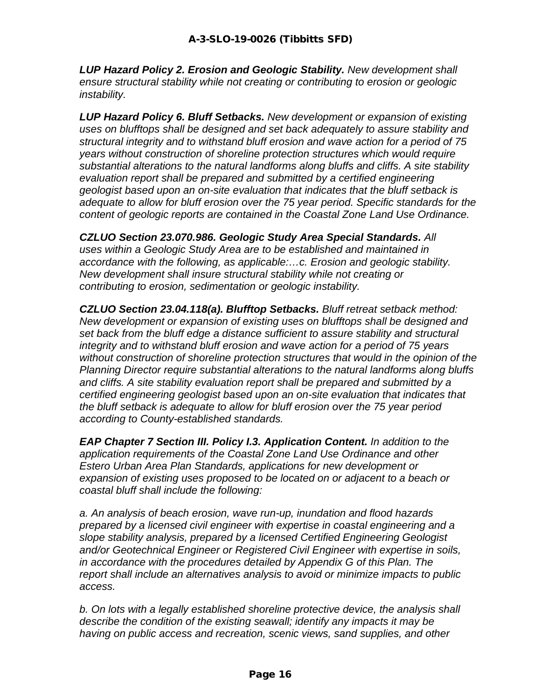*LUP Hazard Policy 2. Erosion and Geologic Stability. New development shall ensure structural stability while not creating or contributing to erosion or geologic instability.*

*LUP Hazard Policy 6. Bluff Setbacks. New development or expansion of existing uses on blufftops shall be designed and set back adequately to assure stability and structural integrity and to withstand bluff erosion and wave action for a period of 75 years without construction of shoreline protection structures which would require substantial alterations to the natural landforms along bluffs and cliffs. A site stability evaluation report shall be prepared and submitted by a certified engineering geologist based upon an on-site evaluation that indicates that the bluff setback is adequate to allow for bluff erosion over the 75 year period. Specific standards for the content of geologic reports are contained in the Coastal Zone Land Use Ordinance.*

*CZLUO Section 23.070.986. Geologic Study Area Special Standards. All uses within a Geologic Study Area are to be established and maintained in accordance with the following, as applicable:…c. Erosion and geologic stability. New development shall insure structural stability while not creating or contributing to erosion, sedimentation or geologic instability.*

*CZLUO Section 23.04.118(a). Blufftop Setbacks. Bluff retreat setback method: New development or expansion of existing uses on blufftops shall be designed and set back from the bluff edge a distance sufficient to assure stability and structural integrity and to withstand bluff erosion and wave action for a period of 75 years without construction of shoreline protection structures that would in the opinion of the Planning Director require substantial alterations to the natural landforms along bluffs and cliffs. A site stability evaluation report shall be prepared and submitted by a certified engineering geologist based upon an on-site evaluation that indicates that the bluff setback is adequate to allow for bluff erosion over the 75 year period according to County-established standards.*

*EAP Chapter 7 Section III. Policy I.3. Application Content. In addition to the application requirements of the Coastal Zone Land Use Ordinance and other Estero Urban Area Plan Standards, applications for new development or expansion of existing uses proposed to be located on or adjacent to a beach or coastal bluff shall include the following:*

*a. An analysis of beach erosion, wave run-up, inundation and flood hazards prepared by a licensed civil engineer with expertise in coastal engineering and a slope stability analysis, prepared by a licensed Certified Engineering Geologist and/or Geotechnical Engineer or Registered Civil Engineer with expertise in soils, in accordance with the procedures detailed by Appendix G of this Plan. The report shall include an alternatives analysis to avoid or minimize impacts to public access.* 

*b. On lots with a legally established shoreline protective device, the analysis shall describe the condition of the existing seawall; identify any impacts it may be having on public access and recreation, scenic views, sand supplies, and other*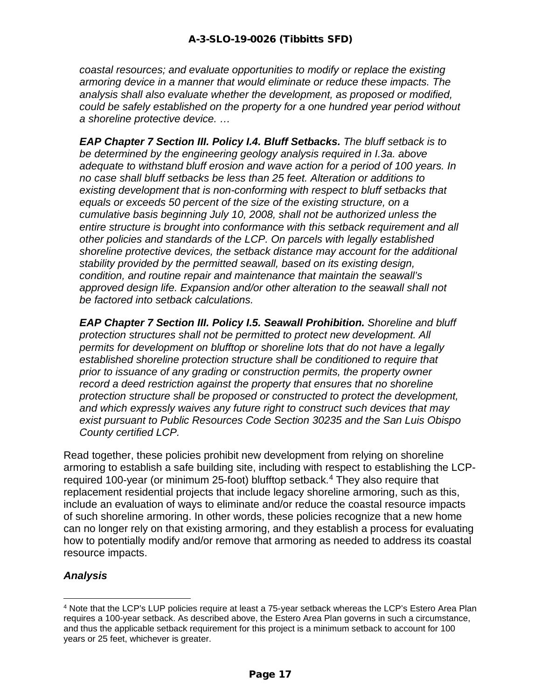*coastal resources; and evaluate opportunities to modify or replace the existing armoring device in a manner that would eliminate or reduce these impacts. The analysis shall also evaluate whether the development, as proposed or modified, could be safely established on the property for a one hundred year period without a shoreline protective device. …* 

*EAP Chapter 7 Section III. Policy I.4. Bluff Setbacks. The bluff setback is to be determined by the engineering geology analysis required in I.3a. above adequate to withstand bluff erosion and wave action for a period of 100 years. In no case shall bluff setbacks be less than 25 feet. Alteration or additions to existing development that is non-conforming with respect to bluff setbacks that equals or exceeds 50 percent of the size of the existing structure, on a cumulative basis beginning July 10, 2008, shall not be authorized unless the entire structure is brought into conformance with this setback requirement and all other policies and standards of the LCP. On parcels with legally established shoreline protective devices, the setback distance may account for the additional stability provided by the permitted seawall, based on its existing design, condition, and routine repair and maintenance that maintain the seawall's approved design life. Expansion and/or other alteration to the seawall shall not be factored into setback calculations.* 

*EAP Chapter 7 Section III. Policy I.5. Seawall Prohibition. Shoreline and bluff protection structures shall not be permitted to protect new development. All permits for development on blufftop or shoreline lots that do not have a legally established shoreline protection structure shall be conditioned to require that prior to issuance of any grading or construction permits, the property owner record a deed restriction against the property that ensures that no shoreline protection structure shall be proposed or constructed to protect the development, and which expressly waives any future right to construct such devices that may exist pursuant to Public Resources Code Section 30235 and the San Luis Obispo County certified LCP.*

Read together, these policies prohibit new development from relying on shoreline armoring to establish a safe building site, including with respect to establishing the LCP-required 100-year (or minimum 25-foot) blufftop setback.<sup>[4](#page-16-0)</sup> They also require that replacement residential projects that include legacy shoreline armoring, such as this, include an evaluation of ways to eliminate and/or reduce the coastal resource impacts of such shoreline armoring. In other words, these policies recognize that a new home can no longer rely on that existing armoring, and they establish a process for evaluating how to potentially modify and/or remove that armoring as needed to address its coastal resource impacts.

#### *Analysis*

<span id="page-16-0"></span><sup>4</sup> Note that the LCP's LUP policies require at least a 75-year setback whereas the LCP's Estero Area Plan requires a 100-year setback. As described above, the Estero Area Plan governs in such a circumstance, and thus the applicable setback requirement for this project is a minimum setback to account for 100 years or 25 feet, whichever is greater.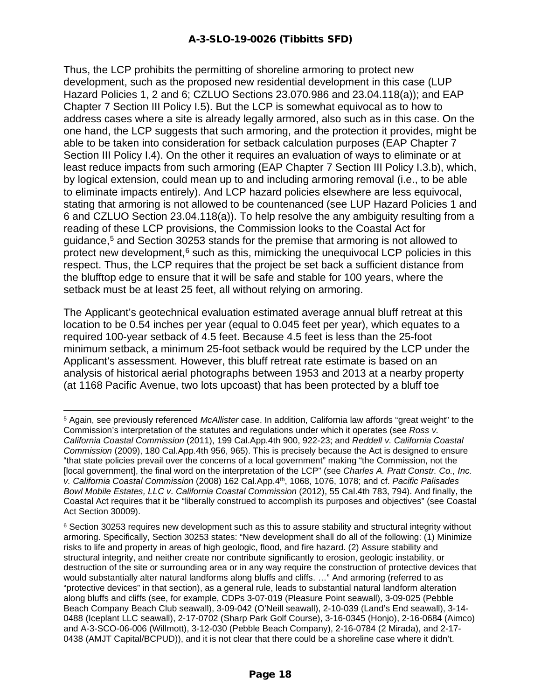Thus, the LCP prohibits the permitting of shoreline armoring to protect new development, such as the proposed new residential development in this case (LUP Hazard Policies 1, 2 and 6; CZLUO Sections 23.070.986 and 23.04.118(a)); and EAP Chapter 7 Section III Policy I.5). But the LCP is somewhat equivocal as to how to address cases where a site is already legally armored, also such as in this case. On the one hand, the LCP suggests that such armoring, and the protection it provides, might be able to be taken into consideration for setback calculation purposes (EAP Chapter 7 Section III Policy I.4). On the other it requires an evaluation of ways to eliminate or at least reduce impacts from such armoring (EAP Chapter 7 Section III Policy I.3.b), which, by logical extension, could mean up to and including armoring removal (i.e., to be able to eliminate impacts entirely). And LCP hazard policies elsewhere are less equivocal, stating that armoring is not allowed to be countenanced (see LUP Hazard Policies 1 and 6 and CZLUO Section 23.04.118(a)). To help resolve the any ambiguity resulting from a reading of these LCP provisions, the Commission looks to the Coastal Act for guidance, [5](#page-17-0) and Section 30253 stands for the premise that armoring is not allowed to protect new development, $6$  such as this, mimicking the unequivocal LCP policies in this respect. Thus, the LCP requires that the project be set back a sufficient distance from the blufftop edge to ensure that it will be safe and stable for 100 years, where the setback must be at least 25 feet, all without relying on armoring.

The Applicant's geotechnical evaluation estimated average annual bluff retreat at this location to be 0.54 inches per year (equal to 0.045 feet per year), which equates to a required 100-year setback of 4.5 feet. Because 4.5 feet is less than the 25-foot minimum setback, a minimum 25-foot setback would be required by the LCP under the Applicant's assessment. However, this bluff retreat rate estimate is based on an analysis of historical aerial photographs between 1953 and 2013 at a nearby property (at 1168 Pacific Avenue, two lots upcoast) that has been protected by a bluff toe

<span id="page-17-0"></span><sup>5</sup> Again, see previously referenced *McAllister* case. In addition, California law affords "great weight" to the Commission's interpretation of the statutes and regulations under which it operates (see *Ross v. California Coastal Commission* (2011), 199 Cal.App.4th 900, 922-23; and *Reddell v. California Coastal Commission* (2009), 180 Cal.App.4th 956, 965). This is precisely because the Act is designed to ensure "that state policies prevail over the concerns of a local government" making "the Commission, not the [local government], the final word on the interpretation of the LCP" (see *Charles A. Pratt Constr. Co., Inc. v. California Coastal Commission* (2008) 162 Cal.App.4th, 1068, 1076, 1078; and cf. *Pacific Palisades Bowl Mobile Estates, LLC v. California Coastal Commission* (2012), 55 Cal.4th 783, 794). And finally, the Coastal Act requires that it be "liberally construed to accomplish its purposes and objectives" (see Coastal Act Section 30009).

<span id="page-17-1"></span><sup>6</sup> Section 30253 requires new development such as this to assure stability and structural integrity without armoring. Specifically, Section 30253 states: "New development shall do all of the following: (1) Minimize risks to life and property in areas of high geologic, flood, and fire hazard. (2) Assure stability and structural integrity, and neither create nor contribute significantly to erosion, geologic instability, or destruction of the site or surrounding area or in any way require the construction of protective devices that would substantially alter natural landforms along bluffs and cliffs. ..." And armoring (referred to as "protective devices" in that section), as a general rule, leads to substantial natural landform alteration along bluffs and cliffs (see, for example, CDPs 3-07-019 (Pleasure Point seawall), 3-09-025 (Pebble Beach Company Beach Club seawall), 3-09-042 (O'Neill seawall), 2-10-039 (Land's End seawall), 3-14- 0488 (Iceplant LLC seawall), 2-17-0702 (Sharp Park Golf Course), 3-16-0345 (Honjo), 2-16-0684 (Aimco) and A-3-SCO-06-006 (Willmott), 3-12-030 (Pebble Beach Company), 2-16-0784 (2 Mirada), and 2-17- 0438 (AMJT Capital/BCPUD)), and it is not clear that there could be a shoreline case where it didn't.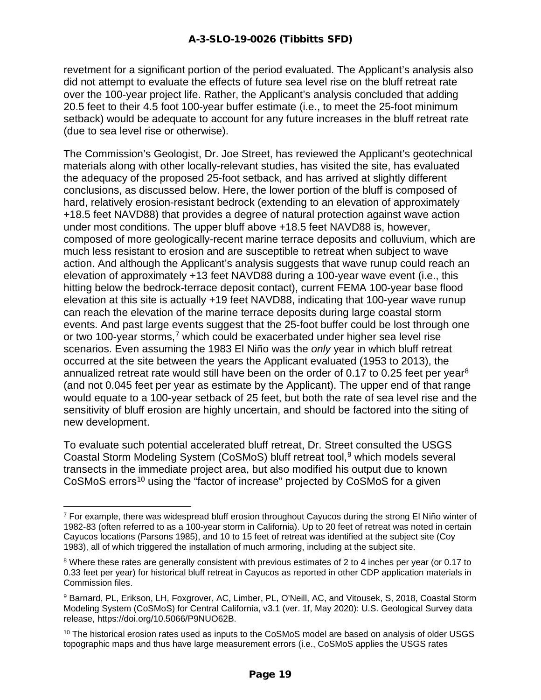revetment for a significant portion of the period evaluated. The Applicant's analysis also did not attempt to evaluate the effects of future sea level rise on the bluff retreat rate over the 100-year project life. Rather, the Applicant's analysis concluded that adding 20.5 feet to their 4.5 foot 100-year buffer estimate (i.e., to meet the 25-foot minimum setback) would be adequate to account for any future increases in the bluff retreat rate (due to sea level rise or otherwise).

The Commission's Geologist, Dr. Joe Street, has reviewed the Applicant's geotechnical materials along with other locally-relevant studies, has visited the site, has evaluated the adequacy of the proposed 25-foot setback, and has arrived at slightly different conclusions, as discussed below. Here, the lower portion of the bluff is composed of hard, relatively erosion-resistant bedrock (extending to an elevation of approximately +18.5 feet NAVD88) that provides a degree of natural protection against wave action under most conditions. The upper bluff above +18.5 feet NAVD88 is, however, composed of more geologically-recent marine terrace deposits and colluvium, which are much less resistant to erosion and are susceptible to retreat when subject to wave action. And although the Applicant's analysis suggests that wave runup could reach an elevation of approximately +13 feet NAVD88 during a 100-year wave event (i.e., this hitting below the bedrock-terrace deposit contact), current FEMA 100-year base flood elevation at this site is actually +19 feet NAVD88, indicating that 100-year wave runup can reach the elevation of the marine terrace deposits during large coastal storm events. And past large events suggest that the 25-foot buffer could be lost through one or two 100-year storms,<sup>[7](#page-18-0)</sup> which could be exacerbated under higher sea level rise scenarios. Even assuming the 1983 El Niño was the *only* year in which bluff retreat occurred at the site between the years the Applicant evaluated (1953 to 2013), the annualized retreat rate would still have been on the order of 0.17 to 0.25 feet per year<sup>[8](#page-18-1)</sup> (and not 0.045 feet per year as estimate by the Applicant). The upper end of that range would equate to a 100-year setback of 25 feet, but both the rate of sea level rise and the sensitivity of bluff erosion are highly uncertain, and should be factored into the siting of new development.

To evaluate such potential accelerated bluff retreat, Dr. Street consulted the USGS Coastal Storm Modeling System (CoSMoS) bluff retreat tool,<sup>[9](#page-18-2)</sup> which models several transects in the immediate project area, but also modified his output due to known CoSMoS errors<sup>[10](#page-18-3)</sup> using the "factor of increase" projected by CoSMoS for a given

<span id="page-18-0"></span> $7$  For example, there was widespread bluff erosion throughout Cayucos during the strong El Niño winter of 1982-83 (often referred to as a 100-year storm in California). Up to 20 feet of retreat was noted in certain Cayucos locations (Parsons 1985), and 10 to 15 feet of retreat was identified at the subject site (Coy 1983), all of which triggered the installation of much armoring, including at the subject site.

<span id="page-18-1"></span><sup>&</sup>lt;sup>8</sup> Where these rates are generally consistent with previous estimates of 2 to 4 inches per year (or 0.17 to 0.33 feet per year) for historical bluff retreat in Cayucos as reported in other CDP application materials in Commission files.

<span id="page-18-2"></span><sup>9</sup> Barnard, PL, Erikson, LH, Foxgrover, AC, Limber, PL, O'Neill, AC, and Vitousek, S, 2018, Coastal Storm Modeling System (CoSMoS) for Central California, v3.1 (ver. 1f, May 2020): U.S. Geological Survey data release, https://doi.org/10.5066/P9NUO62B.

<span id="page-18-3"></span><sup>&</sup>lt;sup>10</sup> The historical erosion rates used as inputs to the CoSMoS model are based on analysis of older USGS topographic maps and thus have large measurement errors (i.e., CoSMoS applies the USGS rates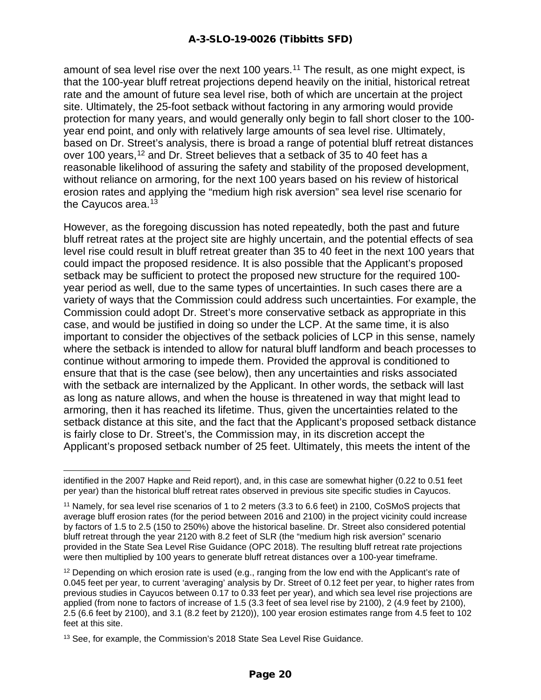amount of sea level rise over the next 100 years.<sup>[11](#page-19-0)</sup> The result, as one might expect, is that the 100-year bluff retreat projections depend heavily on the initial, historical retreat rate and the amount of future sea level rise, both of which are uncertain at the project site. Ultimately, the 25-foot setback without factoring in any armoring would provide protection for many years, and would generally only begin to fall short closer to the 100 year end point, and only with relatively large amounts of sea level rise. Ultimately, based on Dr. Street's analysis, there is broad a range of potential bluff retreat distances over 100 years,<sup>[12](#page-19-1)</sup> and Dr. Street believes that a setback of 35 to 40 feet has a reasonable likelihood of assuring the safety and stability of the proposed development, without reliance on armoring, for the next 100 years based on his review of historical erosion rates and applying the "medium high risk aversion" sea level rise scenario for the Cayucos area.<sup>[13](#page-19-2)</sup>

However, as the foregoing discussion has noted repeatedly, both the past and future bluff retreat rates at the project site are highly uncertain, and the potential effects of sea level rise could result in bluff retreat greater than 35 to 40 feet in the next 100 years that could impact the proposed residence. It is also possible that the Applicant's proposed setback may be sufficient to protect the proposed new structure for the required 100 year period as well, due to the same types of uncertainties. In such cases there are a variety of ways that the Commission could address such uncertainties. For example, the Commission could adopt Dr. Street's more conservative setback as appropriate in this case, and would be justified in doing so under the LCP. At the same time, it is also important to consider the objectives of the setback policies of LCP in this sense, namely where the setback is intended to allow for natural bluff landform and beach processes to continue without armoring to impede them. Provided the approval is conditioned to ensure that that is the case (see below), then any uncertainties and risks associated with the setback are internalized by the Applicant. In other words, the setback will last as long as nature allows, and when the house is threatened in way that might lead to armoring, then it has reached its lifetime. Thus, given the uncertainties related to the setback distance at this site, and the fact that the Applicant's proposed setback distance is fairly close to Dr. Street's, the Commission may, in its discretion accept the Applicant's proposed setback number of 25 feet. Ultimately, this meets the intent of the

identified in the 2007 Hapke and Reid report), and, in this case are somewhat higher (0.22 to 0.51 feet per year) than the historical bluff retreat rates observed in previous site specific studies in Cayucos.

<span id="page-19-0"></span><sup>11</sup> Namely, for sea level rise scenarios of 1 to 2 meters (3.3 to 6.6 feet) in 2100, CoSMoS projects that average bluff erosion rates (for the period between 2016 and 2100) in the project vicinity could increase by factors of 1.5 to 2.5 (150 to 250%) above the historical baseline. Dr. Street also considered potential bluff retreat through the year 2120 with 8.2 feet of SLR (the "medium high risk aversion" scenario provided in the State Sea Level Rise Guidance (OPC 2018). The resulting bluff retreat rate projections were then multiplied by 100 years to generate bluff retreat distances over a 100-year timeframe.

<span id="page-19-1"></span> $12$  Depending on which erosion rate is used (e.g., ranging from the low end with the Applicant's rate of 0.045 feet per year, to current 'averaging' analysis by Dr. Street of 0.12 feet per year, to higher rates from previous studies in Cayucos between 0.17 to 0.33 feet per year), and which sea level rise projections are applied (from none to factors of increase of 1.5 (3.3 feet of sea level rise by 2100), 2 (4.9 feet by 2100), 2.5 (6.6 feet by 2100), and 3.1 (8.2 feet by 2120)), 100 year erosion estimates range from 4.5 feet to 102 feet at this site.

<span id="page-19-2"></span><sup>&</sup>lt;sup>13</sup> See, for example, the Commission's 2018 State Sea Level Rise Guidance.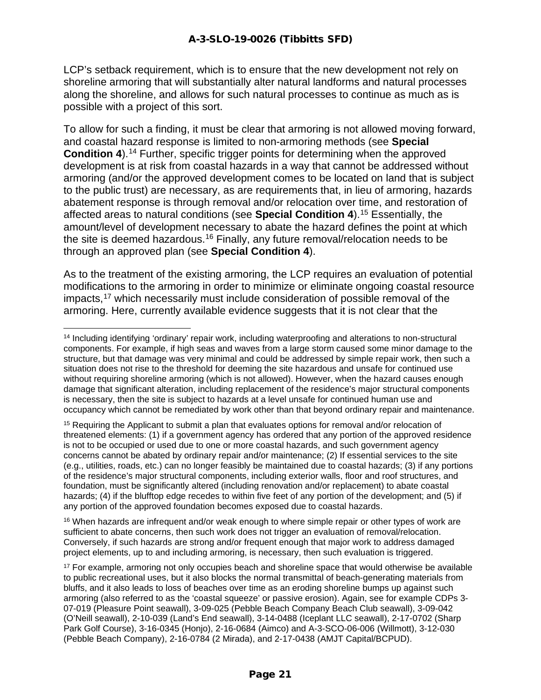LCP's setback requirement, which is to ensure that the new development not rely on shoreline armoring that will substantially alter natural landforms and natural processes along the shoreline, and allows for such natural processes to continue as much as is possible with a project of this sort.

To allow for such a finding, it must be clear that armoring is not allowed moving forward, and coastal hazard response is limited to non-armoring methods (see **Special Condition 4).**<sup>[14](#page-20-0)</sup> Further, specific trigger points for determining when the approved development is at risk from coastal hazards in a way that cannot be addressed without armoring (and/or the approved development comes to be located on land that is subject to the public trust) are necessary, as are requirements that, in lieu of armoring, hazards abatement response is through removal and/or relocation over time, and restoration of affected areas to natural conditions (see **Special Condition 4**).[15](#page-20-1) Essentially, the amount/level of development necessary to abate the hazard defines the point at which the site is deemed hazardous.[16](#page-20-2) Finally, any future removal/relocation needs to be through an approved plan (see **Special Condition 4**).

As to the treatment of the existing armoring, the LCP requires an evaluation of potential modifications to the armoring in order to minimize or eliminate ongoing coastal resource impacts,[17](#page-20-3) which necessarily must include consideration of possible removal of the armoring. Here, currently available evidence suggests that it is not clear that the

<span id="page-20-1"></span><sup>15</sup> Requiring the Applicant to submit a plan that evaluates options for removal and/or relocation of threatened elements: (1) if a government agency has ordered that any portion of the approved residence is not to be occupied or used due to one or more coastal hazards, and such government agency concerns cannot be abated by ordinary repair and/or maintenance; (2) If essential services to the site (e.g., utilities, roads, etc.) can no longer feasibly be maintained due to coastal hazards; (3) if any portions of the residence's major structural components, including exterior walls, floor and roof structures, and foundation, must be significantly altered (including renovation and/or replacement) to abate coastal hazards; (4) if the blufftop edge recedes to within five feet of any portion of the development; and (5) if any portion of the approved foundation becomes exposed due to coastal hazards.

<span id="page-20-2"></span><sup>16</sup> When hazards are infrequent and/or weak enough to where simple repair or other types of work are sufficient to abate concerns, then such work does not trigger an evaluation of removal/relocation. Conversely, if such hazards are strong and/or frequent enough that major work to address damaged project elements, up to and including armoring, is necessary, then such evaluation is triggered.

<span id="page-20-0"></span><sup>14</sup> Including identifying 'ordinary' repair work, including waterproofing and alterations to non-structural components. For example, if high seas and waves from a large storm caused some minor damage to the structure, but that damage was very minimal and could be addressed by simple repair work, then such a situation does not rise to the threshold for deeming the site hazardous and unsafe for continued use without requiring shoreline armoring (which is not allowed). However, when the hazard causes enough damage that significant alteration, including replacement of the residence's major structural components is necessary, then the site is subject to hazards at a level unsafe for continued human use and occupancy which cannot be remediated by work other than that beyond ordinary repair and maintenance.

<span id="page-20-3"></span><sup>&</sup>lt;sup>17</sup> For example, armoring not only occupies beach and shoreline space that would otherwise be available to public recreational uses, but it also blocks the normal transmittal of beach-generating materials from bluffs, and it also leads to loss of beaches over time as an eroding shoreline bumps up against such armoring (also referred to as the 'coastal squeeze' or passive erosion). Again, see for example CDPs 3- 07-019 (Pleasure Point seawall), 3-09-025 (Pebble Beach Company Beach Club seawall), 3-09-042 (O'Neill seawall), 2-10-039 (Land's End seawall), 3-14-0488 (Iceplant LLC seawall), 2-17-0702 (Sharp Park Golf Course), 3-16-0345 (Honjo), 2-16-0684 (Aimco) and A-3-SCO-06-006 (Willmott), 3-12-030 (Pebble Beach Company), 2-16-0784 (2 Mirada), and 2-17-0438 (AMJT Capital/BCPUD).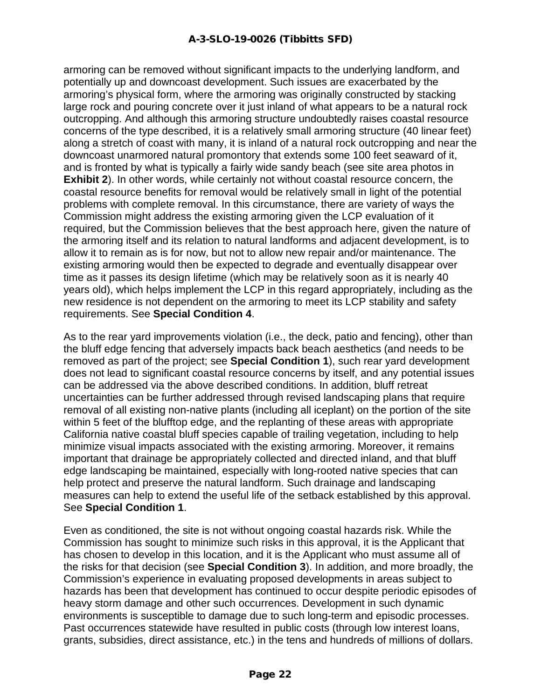armoring can be removed without significant impacts to the underlying landform, and potentially up and downcoast development. Such issues are exacerbated by the armoring's physical form, where the armoring was originally constructed by stacking large rock and pouring concrete over it just inland of what appears to be a natural rock outcropping. And although this armoring structure undoubtedly raises coastal resource concerns of the type described, it is a relatively small armoring structure (40 linear feet) along a stretch of coast with many, it is inland of a natural rock outcropping and near the downcoast unarmored natural promontory that extends some 100 feet seaward of it, and is fronted by what is typically a fairly wide sandy beach (see site area photos in **Exhibit 2**). In other words, while certainly not without coastal resource concern, the coastal resource benefits for removal would be relatively small in light of the potential problems with complete removal. In this circumstance, there are variety of ways the Commission might address the existing armoring given the LCP evaluation of it required, but the Commission believes that the best approach here, given the nature of the armoring itself and its relation to natural landforms and adjacent development, is to allow it to remain as is for now, but not to allow new repair and/or maintenance. The existing armoring would then be expected to degrade and eventually disappear over time as it passes its design lifetime (which may be relatively soon as it is nearly 40 years old), which helps implement the LCP in this regard appropriately, including as the new residence is not dependent on the armoring to meet its LCP stability and safety requirements. See **Special Condition 4**.

As to the rear yard improvements violation (i.e., the deck, patio and fencing), other than the bluff edge fencing that adversely impacts back beach aesthetics (and needs to be removed as part of the project; see **Special Condition 1**), such rear yard development does not lead to significant coastal resource concerns by itself, and any potential issues can be addressed via the above described conditions. In addition, bluff retreat uncertainties can be further addressed through revised landscaping plans that require removal of all existing non-native plants (including all iceplant) on the portion of the site within 5 feet of the blufftop edge, and the replanting of these areas with appropriate California native coastal bluff species capable of trailing vegetation, including to help minimize visual impacts associated with the existing armoring. Moreover, it remains important that drainage be appropriately collected and directed inland, and that bluff edge landscaping be maintained, especially with long-rooted native species that can help protect and preserve the natural landform. Such drainage and landscaping measures can help to extend the useful life of the setback established by this approval. See **Special Condition 1**.

Even as conditioned, the site is not without ongoing coastal hazards risk. While the Commission has sought to minimize such risks in this approval, it is the Applicant that has chosen to develop in this location, and it is the Applicant who must assume all of the risks for that decision (see **Special Condition 3**). In addition, and more broadly, the Commission's experience in evaluating proposed developments in areas subject to hazards has been that development has continued to occur despite periodic episodes of heavy storm damage and other such occurrences. Development in such dynamic environments is susceptible to damage due to such long-term and episodic processes. Past occurrences statewide have resulted in public costs (through low interest loans, grants, subsidies, direct assistance, etc.) in the tens and hundreds of millions of dollars.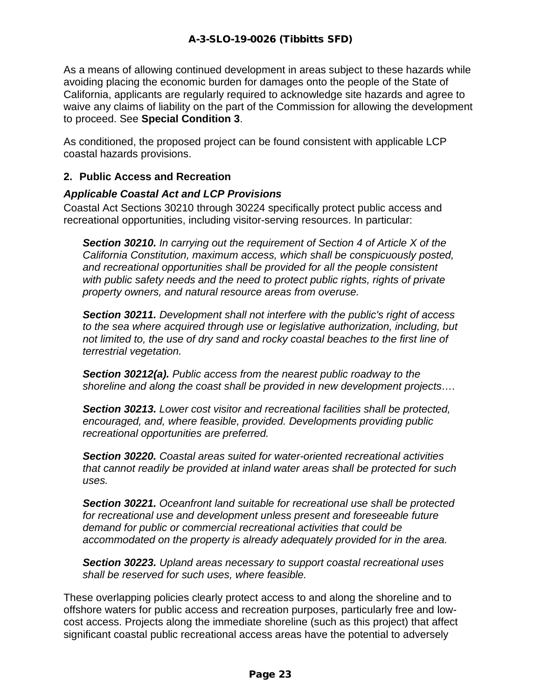As a means of allowing continued development in areas subject to these hazards while avoiding placing the economic burden for damages onto the people of the State of California, applicants are regularly required to acknowledge site hazards and agree to waive any claims of liability on the part of the Commission for allowing the development to proceed. See **Special Condition 3**.

As conditioned, the proposed project can be found consistent with applicable LCP coastal hazards provisions.

#### **2. Public Access and Recreation**

#### *Applicable Coastal Act and LCP Provisions*

Coastal Act Sections 30210 through 30224 specifically protect public access and recreational opportunities, including visitor-serving resources. In particular:

*Section 30210. In carrying out the requirement of Section 4 of Article X of the California Constitution, maximum access, which shall be conspicuously posted, and recreational opportunities shall be provided for all the people consistent with public safety needs and the need to protect public rights, rights of private property owners, and natural resource areas from overuse.*

*Section 30211. Development shall not interfere with the public's right of access to the sea where acquired through use or legislative authorization, including, but not limited to, the use of dry sand and rocky coastal beaches to the first line of terrestrial vegetation.*

*Section 30212(a). Public access from the nearest public roadway to the shoreline and along the coast shall be provided in new development projects….*

*Section 30213. Lower cost visitor and recreational facilities shall be protected, encouraged, and, where feasible, provided. Developments providing public recreational opportunities are preferred.*

*Section 30220. Coastal areas suited for water-oriented recreational activities that cannot readily be provided at inland water areas shall be protected for such uses.*

*Section 30221. Oceanfront land suitable for recreational use shall be protected for recreational use and development unless present and foreseeable future demand for public or commercial recreational activities that could be accommodated on the property is already adequately provided for in the area.*

*Section 30223. Upland areas necessary to support coastal recreational uses shall be reserved for such uses, where feasible.*

These overlapping policies clearly protect access to and along the shoreline and to offshore waters for public access and recreation purposes, particularly free and lowcost access. Projects along the immediate shoreline (such as this project) that affect significant coastal public recreational access areas have the potential to adversely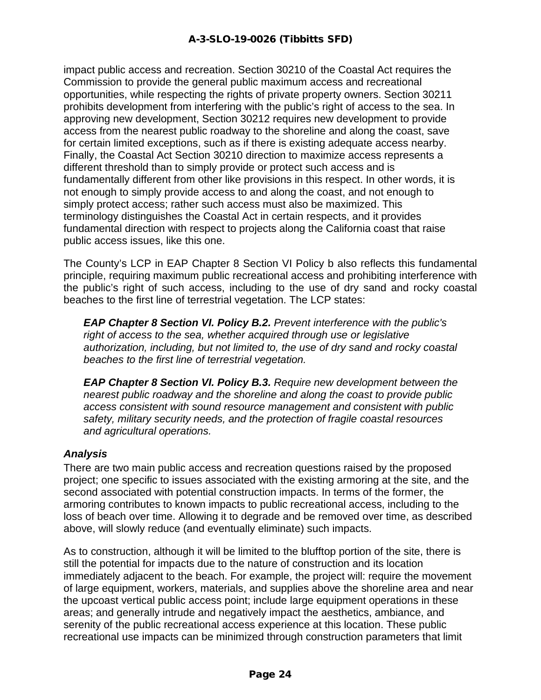impact public access and recreation. Section 30210 of the Coastal Act requires the Commission to provide the general public maximum access and recreational opportunities, while respecting the rights of private property owners. Section 30211 prohibits development from interfering with the public's right of access to the sea. In approving new development, Section 30212 requires new development to provide access from the nearest public roadway to the shoreline and along the coast, save for certain limited exceptions, such as if there is existing adequate access nearby. Finally, the Coastal Act Section 30210 direction to maximize access represents a different threshold than to simply provide or protect such access and is fundamentally different from other like provisions in this respect. In other words, it is not enough to simply provide access to and along the coast, and not enough to simply protect access; rather such access must also be maximized. This terminology distinguishes the Coastal Act in certain respects, and it provides fundamental direction with respect to projects along the California coast that raise public access issues, like this one.

The County's LCP in EAP Chapter 8 Section VI Policy b also reflects this fundamental principle, requiring maximum public recreational access and prohibiting interference with the public's right of such access, including to the use of dry sand and rocky coastal beaches to the first line of terrestrial vegetation. The LCP states:

*EAP Chapter 8 Section VI. Policy B.2. Prevent interference with the public's right of access to the sea, whether acquired through use or legislative authorization, including, but not limited to, the use of dry sand and rocky coastal beaches to the first line of terrestrial vegetation.* 

*EAP Chapter 8 Section VI. Policy B.3. Require new development between the nearest public roadway and the shoreline and along the coast to provide public access consistent with sound resource management and consistent with public safety, military security needs, and the protection of fragile coastal resources and agricultural operations.*

#### *Analysis*

There are two main public access and recreation questions raised by the proposed project; one specific to issues associated with the existing armoring at the site, and the second associated with potential construction impacts. In terms of the former, the armoring contributes to known impacts to public recreational access, including to the loss of beach over time. Allowing it to degrade and be removed over time, as described above, will slowly reduce (and eventually eliminate) such impacts.

As to construction, although it will be limited to the blufftop portion of the site, there is still the potential for impacts due to the nature of construction and its location immediately adjacent to the beach. For example, the project will: require the movement of large equipment, workers, materials, and supplies above the shoreline area and near the upcoast vertical public access point; include large equipment operations in these areas; and generally intrude and negatively impact the aesthetics, ambiance, and serenity of the public recreational access experience at this location. These public recreational use impacts can be minimized through construction parameters that limit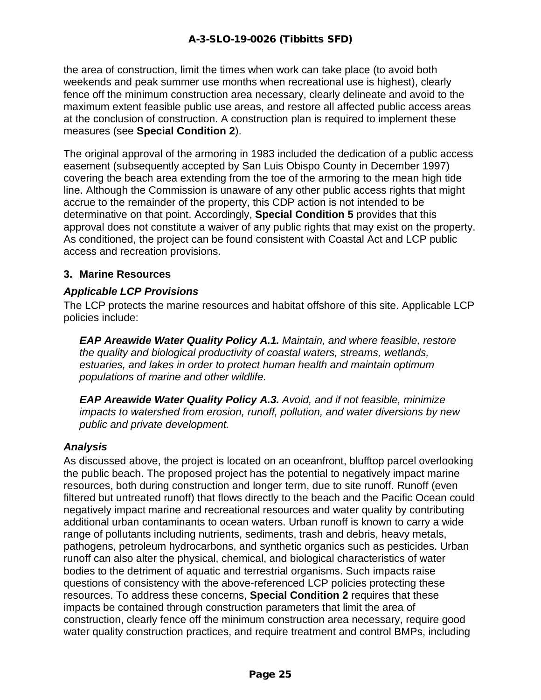the area of construction, limit the times when work can take place (to avoid both weekends and peak summer use months when recreational use is highest), clearly fence off the minimum construction area necessary, clearly delineate and avoid to the maximum extent feasible public use areas, and restore all affected public access areas at the conclusion of construction. A construction plan is required to implement these measures (see **Special Condition 2**).

The original approval of the armoring in 1983 included the dedication of a public access easement (subsequently accepted by San Luis Obispo County in December 1997) covering the beach area extending from the toe of the armoring to the mean high tide line. Although the Commission is unaware of any other public access rights that might accrue to the remainder of the property, this CDP action is not intended to be determinative on that point. Accordingly, **Special Condition 5** provides that this approval does not constitute a waiver of any public rights that may exist on the property. As conditioned, the project can be found consistent with Coastal Act and LCP public access and recreation provisions.

#### **3. Marine Resources**

#### *Applicable LCP Provisions*

The LCP protects the marine resources and habitat offshore of this site. Applicable LCP policies include:

*EAP Areawide Water Quality Policy A.1. Maintain, and where feasible, restore the quality and biological productivity of coastal waters, streams, wetlands, estuaries, and lakes in order to protect human health and maintain optimum populations of marine and other wildlife.*

*EAP Areawide Water Quality Policy A.3. Avoid, and if not feasible, minimize impacts to watershed from erosion, runoff, pollution, and water diversions by new public and private development.*

#### *Analysis*

As discussed above, the project is located on an oceanfront, blufftop parcel overlooking the public beach. The proposed project has the potential to negatively impact marine resources, both during construction and longer term, due to site runoff. Runoff (even filtered but untreated runoff) that flows directly to the beach and the Pacific Ocean could negatively impact marine and recreational resources and water quality by contributing additional urban contaminants to ocean waters. Urban runoff is known to carry a wide range of pollutants including nutrients, sediments, trash and debris, heavy metals, pathogens, petroleum hydrocarbons, and synthetic organics such as pesticides. Urban runoff can also alter the physical, chemical, and biological characteristics of water bodies to the detriment of aquatic and terrestrial organisms. Such impacts raise questions of consistency with the above-referenced LCP policies protecting these resources. To address these concerns, **Special Condition 2** requires that these impacts be contained through construction parameters that limit the area of construction, clearly fence off the minimum construction area necessary, require good water quality construction practices, and require treatment and control BMPs, including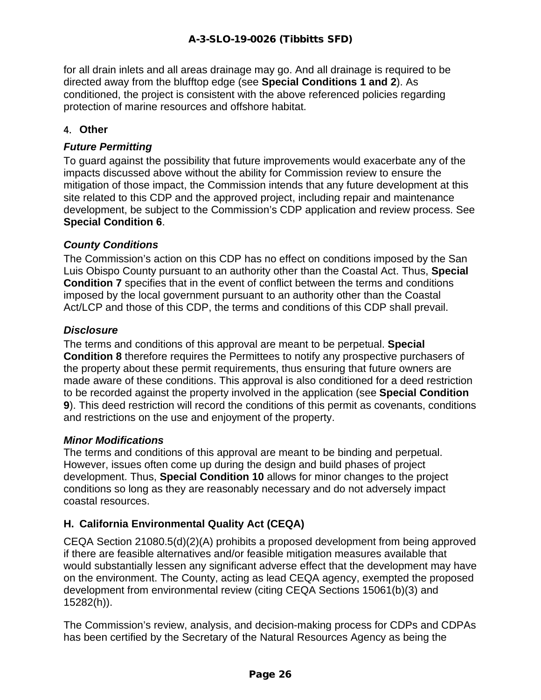for all drain inlets and all areas drainage may go. And all drainage is required to be directed away from the blufftop edge (see **Special Conditions 1 and 2**). As conditioned, the project is consistent with the above referenced policies regarding protection of marine resources and offshore habitat.

#### 4. **Other**

#### *Future Permitting*

To guard against the possibility that future improvements would exacerbate any of the impacts discussed above without the ability for Commission review to ensure the mitigation of those impact, the Commission intends that any future development at this site related to this CDP and the approved project, including repair and maintenance development, be subject to the Commission's CDP application and review process. See **Special Condition 6**.

#### *County Conditions*

The Commission's action on this CDP has no effect on conditions imposed by the San Luis Obispo County pursuant to an authority other than the Coastal Act. Thus, **Special Condition 7** specifies that in the event of conflict between the terms and conditions imposed by the local government pursuant to an authority other than the Coastal Act/LCP and those of this CDP, the terms and conditions of this CDP shall prevail.

#### *Disclosure*

The terms and conditions of this approval are meant to be perpetual. **Special Condition 8** therefore requires the Permittees to notify any prospective purchasers of the property about these permit requirements, thus ensuring that future owners are made aware of these conditions. This approval is also conditioned for a deed restriction to be recorded against the property involved in the application (see **Special Condition 9**). This deed restriction will record the conditions of this permit as covenants, conditions and restrictions on the use and enjoyment of the property.

#### *Minor Modifications*

The terms and conditions of this approval are meant to be binding and perpetual. However, issues often come up during the design and build phases of project development. Thus, **Special Condition 10** allows for minor changes to the project conditions so long as they are reasonably necessary and do not adversely impact coastal resources.

#### **H. California Environmental Quality Act (CEQA)**

CEQA Section 21080.5(d)(2)(A) prohibits a proposed development from being approved if there are feasible alternatives and/or feasible mitigation measures available that would substantially lessen any significant adverse effect that the development may have on the environment. The County, acting as lead CEQA agency, exempted the proposed development from environmental review (citing CEQA Sections 15061(b)(3) and 15282(h)).

The Commission's review, analysis, and decision-making process for CDPs and CDPAs has been certified by the Secretary of the Natural Resources Agency as being the